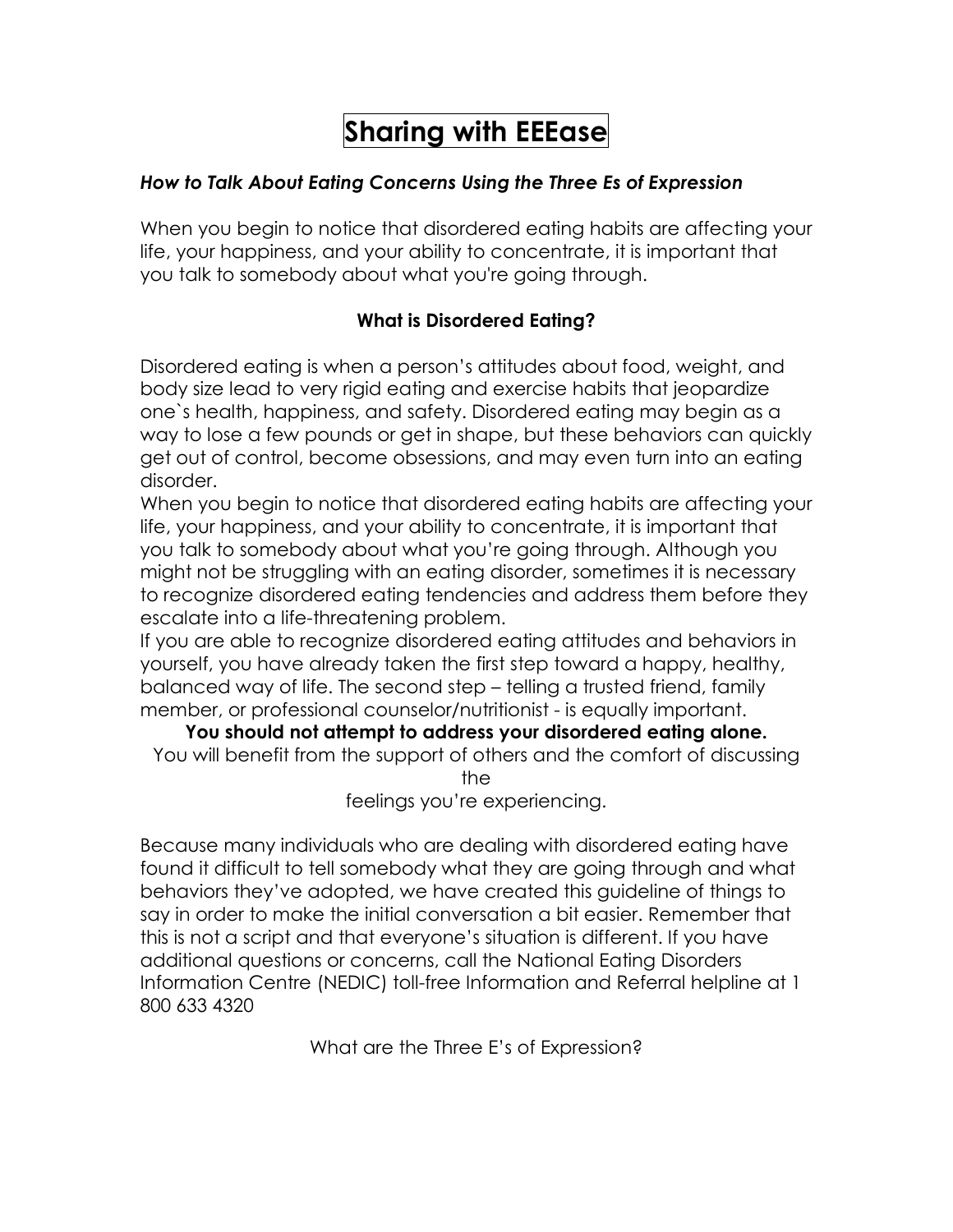# **Sharing with EEEase**

## *How to Talk About Eating Concerns Using the Three Es of Expression*

When you begin to notice that disordered eating habits are affecting your life, your happiness, and your ability to concentrate, it is important that you talk to somebody about what you're going through.

## **What is Disordered Eating?**

Disordered eating is when a person's attitudes about food, weight, and body size lead to very rigid eating and exercise habits that jeopardize one`s health, happiness, and safety. Disordered eating may begin as a way to lose a few pounds or get in shape, but these behaviors can quickly get out of control, become obsessions, and may even turn into an eating disorder.

When you begin to notice that disordered eating habits are affecting your life, your happiness, and your ability to concentrate, it is important that you talk to somebody about what you're going through. Although you might not be struggling with an eating disorder, sometimes it is necessary to recognize disordered eating tendencies and address them before they escalate into a life-threatening problem.

If you are able to recognize disordered eating attitudes and behaviors in yourself, you have already taken the first step toward a happy, healthy, balanced way of life. The second step – telling a trusted friend, family member, or professional counselor/nutritionist - is equally important.

**You should not attempt to address your disordered eating alone.** You will benefit from the support of others and the comfort of discussing the

feelings you're experiencing.

Because many individuals who are dealing with disordered eating have found it difficult to tell somebody what they are going through and what behaviors they've adopted, we have created this guideline of things to say in order to make the initial conversation a bit easier. Remember that this is not a script and that everyone's situation is different. If you have additional questions or concerns, call the National Eating Disorders Information Centre (NEDIC) toll-free Information and Referral helpline at 1 800 633 4320

What are the Three E's of Expression?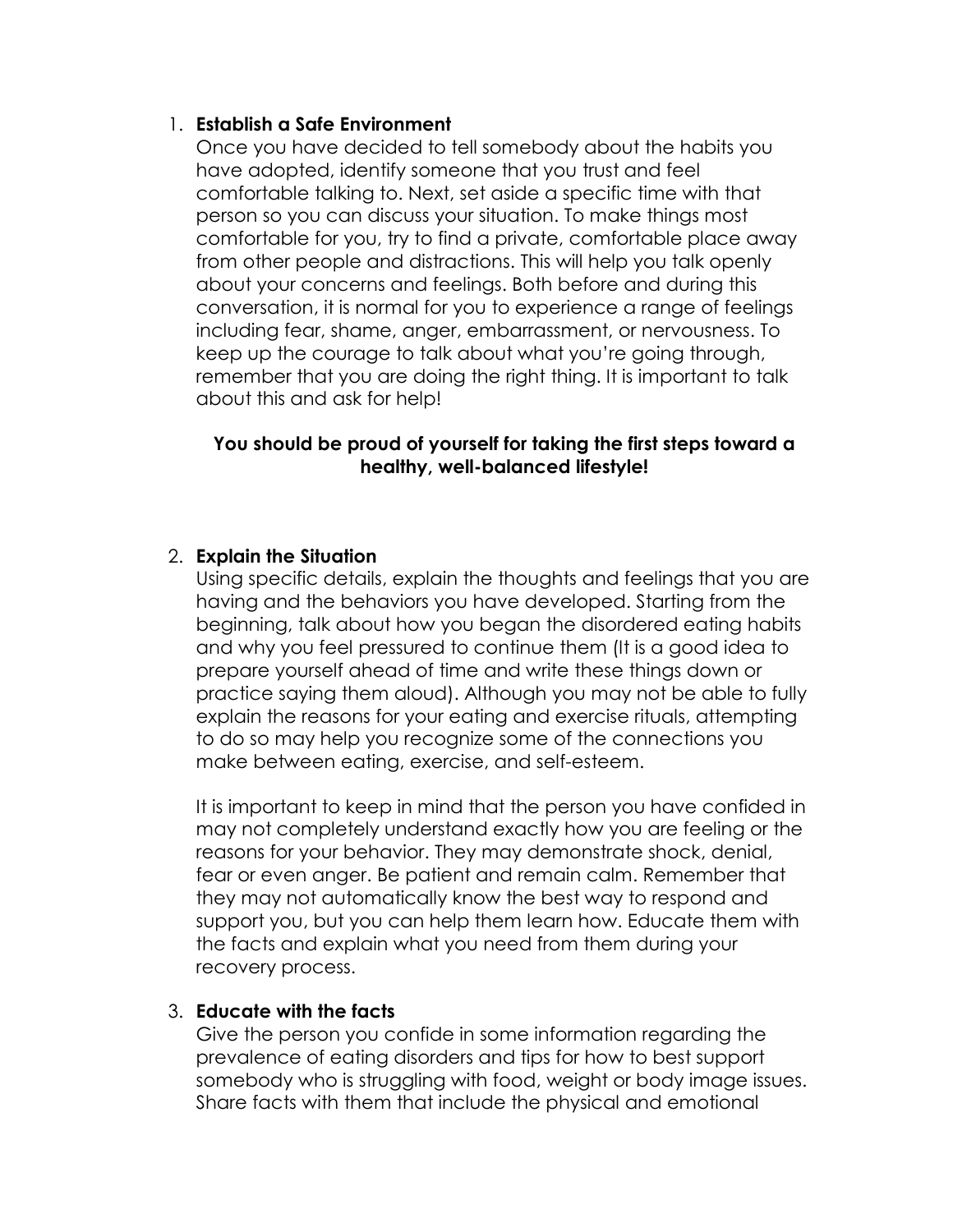### 1. **Establish a Safe Environment**

Once you have decided to tell somebody about the habits you have adopted, identify someone that you trust and feel comfortable talking to. Next, set aside a specific time with that person so you can discuss your situation. To make things most comfortable for you, try to find a private, comfortable place away from other people and distractions. This will help you talk openly about your concerns and feelings. Both before and during this conversation, it is normal for you to experience a range of feelings including fear, shame, anger, embarrassment, or nervousness. To keep up the courage to talk about what you're going through, remember that you are doing the right thing. It is important to talk about this and ask for help!

## **You should be proud of yourself for taking the first steps toward a healthy, well-balanced lifestyle!**

### 2. **Explain the Situation**

Using specific details, explain the thoughts and feelings that you are having and the behaviors you have developed. Starting from the beginning, talk about how you began the disordered eating habits and why you feel pressured to continue them (It is a good idea to prepare yourself ahead of time and write these things down or practice saying them aloud). Although you may not be able to fully explain the reasons for your eating and exercise rituals, attempting to do so may help you recognize some of the connections you make between eating, exercise, and self-esteem.

It is important to keep in mind that the person you have confided in may not completely understand exactly how you are feeling or the reasons for your behavior. They may demonstrate shock, denial, fear or even anger. Be patient and remain calm. Remember that they may not automatically know the best way to respond and support you, but you can help them learn how. Educate them with the facts and explain what you need from them during your recovery process.

#### 3. **Educate with the facts**

Give the person you confide in some information regarding the prevalence of eating disorders and tips for how to best support somebody who is struggling with food, weight or body image issues. Share facts with them that include the physical and emotional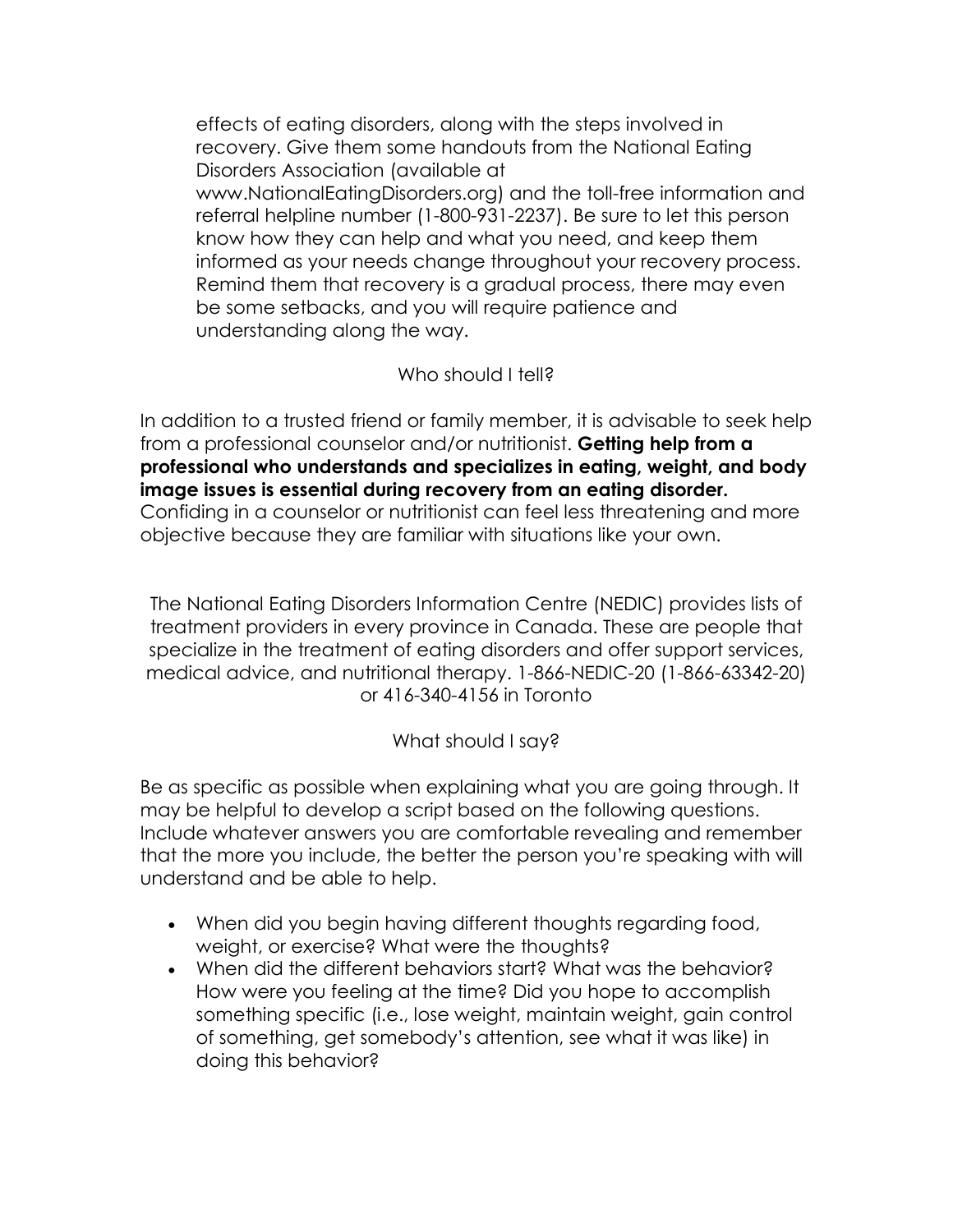effects of eating disorders, along with the steps involved in recovery. Give them some handouts from the National Eating Disorders Association (available at www.NationalEatingDisorders.org) and the toll-free information and referral helpline number (1-800-931-2237). Be sure to let this person know how they can help and what you need, and keep them informed as your needs change throughout your recovery process. Remind them that recovery is a gradual process, there may even be some setbacks, and you will require patience and understanding along the way.

## Who should I tell?

In addition to a trusted friend or family member, it is advisable to seek help from a professional counselor and/or nutritionist. **Getting help from a professional who understands and specializes in eating, weight, and body image issues is essential during recovery from an eating disorder.** Confiding in a counselor or nutritionist can feel less threatening and more objective because they are familiar with situations like your own.

The National Eating Disorders Information Centre (NEDIC) provides lists of treatment providers in every province in Canada. These are people that specialize in the treatment of eating disorders and offer support services, medical advice, and nutritional therapy. 1-866-NEDIC-20 (1-866-63342-20) or 416-340-4156 in Toronto

# What should I say?

Be as specific as possible when explaining what you are going through. It may be helpful to develop a script based on the following questions. Include whatever answers you are comfortable revealing and remember that the more you include, the better the person you're speaking with will understand and be able to help.

- When did you begin having different thoughts regarding food, weight, or exercise? What were the thoughts?
- When did the different behaviors start? What was the behavior? How were you feeling at the time? Did you hope to accomplish something specific (i.e., lose weight, maintain weight, gain control of something, get somebody's attention, see what it was like) in doing this behavior?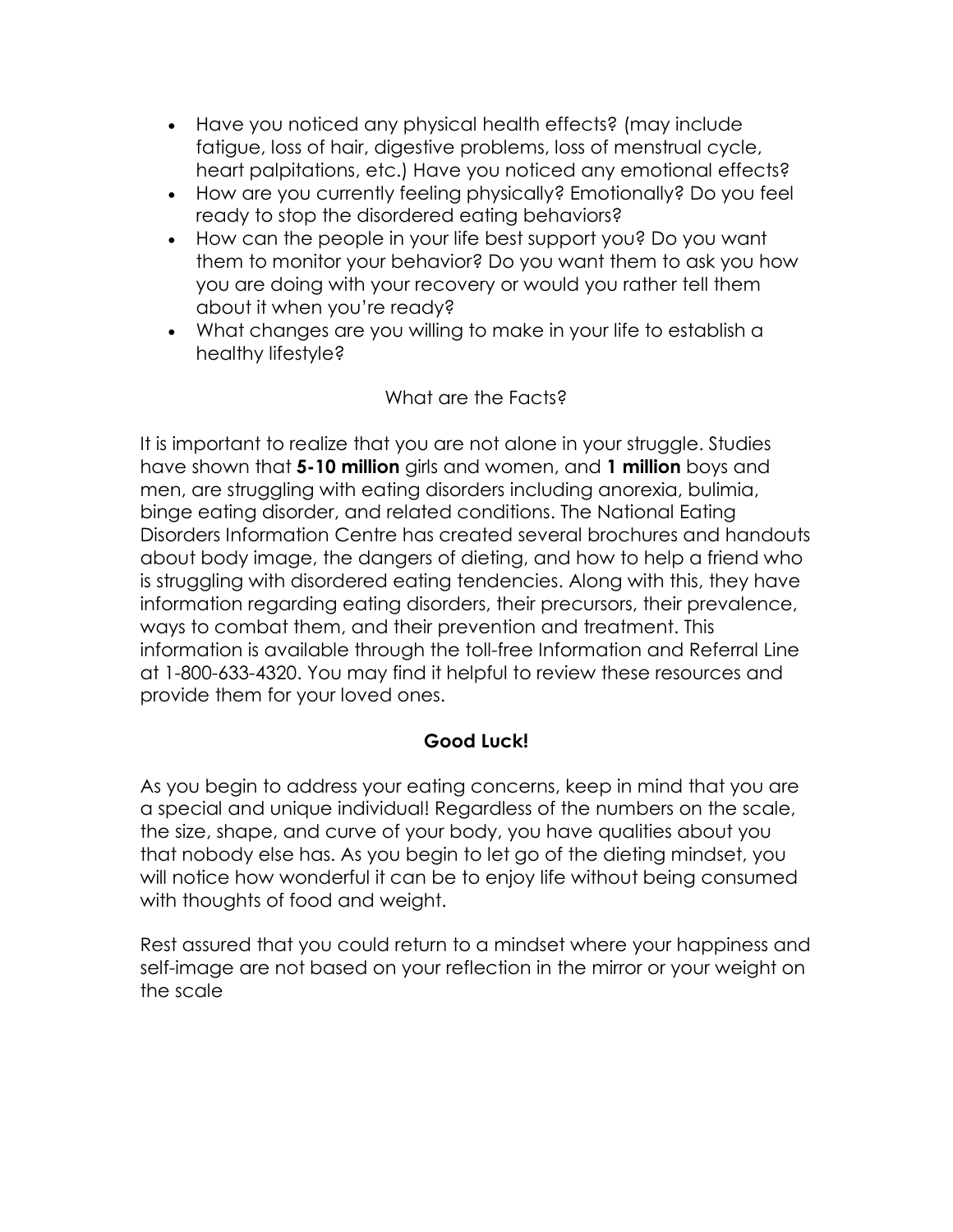- Have you noticed any physical health effects? (may include fatigue, loss of hair, digestive problems, loss of menstrual cycle, heart palpitations, etc.) Have you noticed any emotional effects?
- How are you currently feeling physically? Emotionally? Do you feel ready to stop the disordered eating behaviors?
- How can the people in your life best support you? Do you want them to monitor your behavior? Do you want them to ask you how you are doing with your recovery or would you rather tell them about it when you're ready?
- What changes are you willing to make in your life to establish a healthy lifestyle?

## What are the Facts?

It is important to realize that you are not alone in your struggle. Studies have shown that **5-10 million** girls and women, and **1 million** boys and men, are struggling with eating disorders including anorexia, bulimia, binge eating disorder, and related conditions. The National Eating Disorders Information Centre has created several brochures and handouts about body image, the dangers of dieting, and how to help a friend who is struggling with disordered eating tendencies. Along with this, they have information regarding eating disorders, their precursors, their prevalence, ways to combat them, and their prevention and treatment. This information is available through the toll-free Information and Referral Line at 1-800-633-4320. You may find it helpful to review these resources and provide them for your loved ones.

## **Good Luck!**

As you begin to address your eating concerns, keep in mind that you are a special and unique individual! Regardless of the numbers on the scale, the size, shape, and curve of your body, you have qualities about you that nobody else has. As you begin to let go of the dieting mindset, you will notice how wonderful it can be to enjoy life without being consumed with thoughts of food and weight.

Rest assured that you could return to a mindset where your happiness and self-image are not based on your reflection in the mirror or your weight on the scale